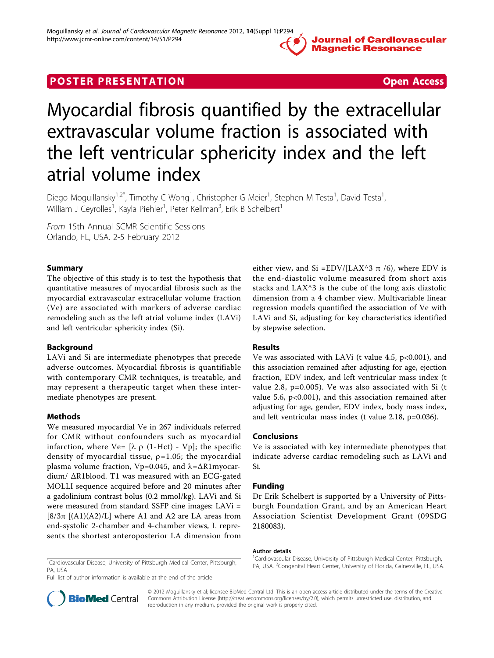Journal of Cardiovascular **Magnetic Resonance** 

## **POSTER PRESENTATION CONSIDERATION Open Access**

# Myocardial fibrosis quantified by the extracellular extravascular volume fraction is associated with the left ventricular sphericity index and the left atrial volume index

Diego Moguillansky<sup>1,2\*</sup>, Timothy C Wong<sup>1</sup>, Christopher G Meier<sup>1</sup>, Stephen M Testa<sup>1</sup>, David Testa<sup>1</sup> , William J Ceyrolles<sup>1</sup>, Kayla Piehler<sup>1</sup>, Peter Kellman<sup>3</sup>, Erik B Schelbert<sup>1</sup>

From 15th Annual SCMR Scientific Sessions Orlando, FL, USA. 2-5 February 2012

#### Summary

The objective of this study is to test the hypothesis that quantitative measures of myocardial fibrosis such as the myocardial extravascular extracellular volume fraction (Ve) are associated with markers of adverse cardiac remodeling such as the left atrial volume index (LAVi) and left ventricular sphericity index (Si).

#### Background

LAVi and Si are intermediate phenotypes that precede adverse outcomes. Myocardial fibrosis is quantifiable with contemporary CMR techniques, is treatable, and may represent a therapeutic target when these intermediate phenotypes are present.

### Methods

We measured myocardial Ve in 267 individuals referred for CMR without confounders such as myocardial infarction, where Ve=  $[\lambda \rho (1-Hct) - Vp]$ ; the specific density of myocardial tissue,  $\rho$ =1.05; the myocardial plasma volume fraction, Vp=0.045, and  $λ = ΔR1myccar$ dium/ ΔR1blood. T1 was measured with an ECG-gated MOLLI sequence acquired before and 20 minutes after a gadolinium contrast bolus (0.2 mmol/kg). LAVi and Si were measured from standard SSFP cine images: LAVi =  $[8/3π [(A1)(A2)/L]$  where A1 and A2 are LA areas from end-systolic 2-chamber and 4-chamber views, L represents the shortest anteroposterior LA dimension from either view, and Si =EDV/[LAX^3 π /6), where EDV is the end-diastolic volume measured from short axis stacks and LAX^3 is the cube of the long axis diastolic dimension from a 4 chamber view. Multivariable linear regression models quantified the association of Ve with LAVi and Si, adjusting for key characteristics identified by stepwise selection.

### Results

Ve was associated with LAVi (t value 4.5, p<0.001), and this association remained after adjusting for age, ejection fraction, EDV index, and left ventricular mass index (t value 2.8, p=0.005). Ve was also associated with Si (t value 5.6,  $p<0.001$ ), and this association remained after adjusting for age, gender, EDV index, body mass index, and left ventricular mass index (t value 2.18, p=0.036).

#### Conclusions

Ve is associated with key intermediate phenotypes that indicate adverse cardiac remodeling such as LAVi and Si.

#### Funding

Dr Erik Schelbert is supported by a University of Pittsburgh Foundation Grant, and by an American Heart Association Scientist Development Grant (09SDG 2180083).

#### Author details

<sup>1</sup>Cardiovascular Disease, University of Pittsburgh Medical Center, Pittsburgh, PA, USA

<sup>1</sup>Cardiovascular Disease, University of Pittsburgh Medical Center, Pittsburgh PA, USA. <sup>2</sup>Congenital Heart Center, University of Florida, Gainesville, FL, USA.

Full list of author information is available at the end of the article



© 2012 Moguillansky et al; licensee BioMed Central Ltd. This is an open access article distributed under the terms of the Creative Commons Attribution License [\(http://creativecommons.org/licenses/by/2.0](http://creativecommons.org/licenses/by/2.0)), which permits unrestricted use, distribution, and reproduction in any medium, provided the original work is properly cited.